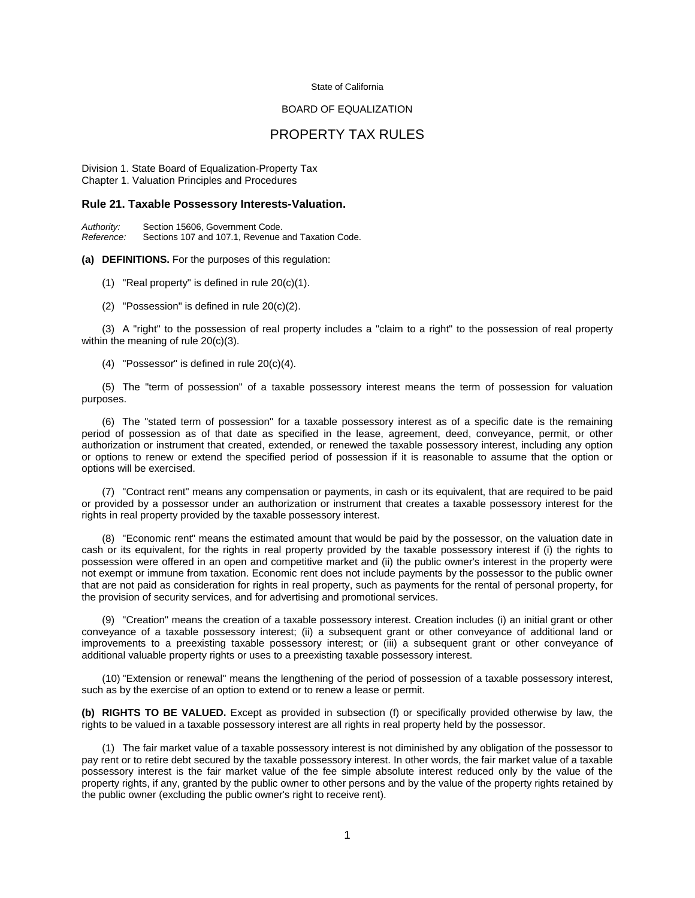#### State of California

## BOARD OF EQUALIZATION

# PROPERTY TAX RULES

Division 1. State Board of Equalization-Property Tax Chapter 1. Valuation Principles and Procedures

#### **Rule 21. Taxable Possessory Interests-Valuation.**

*Authority:* Section 15606, Government Code. Sections 107 and 107.1, Revenue and Taxation Code.

#### **(a) DEFINITIONS.** For the purposes of this regulation:

(1) "Real property" is defined in rule 20(c)(1).

(2) "Possession" is defined in rule 20(c)(2).

 (3) A "right" to the possession of real property includes a "claim to a right" to the possession of real property within the meaning of rule 20(c)(3).

(4) "Possessor" is defined in rule 20(c)(4).

 (5) The "term of possession" of a taxable possessory interest means the term of possession for valuation purposes.

 (6) The "stated term of possession" for a taxable possessory interest as of a specific date is the remaining period of possession as of that date as specified in the lease, agreement, deed, conveyance, permit, or other authorization or instrument that created, extended, or renewed the taxable possessory interest, including any option or options to renew or extend the specified period of possession if it is reasonable to assume that the option or options will be exercised.

 (7) "Contract rent" means any compensation or payments, in cash or its equivalent, that are required to be paid or provided by a possessor under an authorization or instrument that creates a taxable possessory interest for the rights in real property provided by the taxable possessory interest.

 (8) "Economic rent" means the estimated amount that would be paid by the possessor, on the valuation date in cash or its equivalent, for the rights in real property provided by the taxable possessory interest if (i) the rights to possession were offered in an open and competitive market and (ii) the public owner's interest in the property were not exempt or immune from taxation. Economic rent does not include payments by the possessor to the public owner that are not paid as consideration for rights in real property, such as payments for the rental of personal property, for the provision of security services, and for advertising and promotional services.

 (9) "Creation" means the creation of a taxable possessory interest. Creation includes (i) an initial grant or other conveyance of a taxable possessory interest; (ii) a subsequent grant or other conveyance of additional land or improvements to a preexisting taxable possessory interest; or (iii) a subsequent grant or other conveyance of additional valuable property rights or uses to a preexisting taxable possessory interest.

(10) "Extension or renewal" means the lengthening of the period of possession of a taxable possessory interest, such as by the exercise of an option to extend or to renew a lease or permit.

**(b) RIGHTS TO BE VALUED.** Except as provided in subsection (f) or specifically provided otherwise by law, the rights to be valued in a taxable possessory interest are all rights in real property held by the possessor.

 (1) The fair market value of a taxable possessory interest is not diminished by any obligation of the possessor to pay rent or to retire debt secured by the taxable possessory interest. In other words, the fair market value of a taxable possessory interest is the fair market value of the fee simple absolute interest reduced only by the value of the property rights, if any, granted by the public owner to other persons and by the value of the property rights retained by the public owner (excluding the public owner's right to receive rent).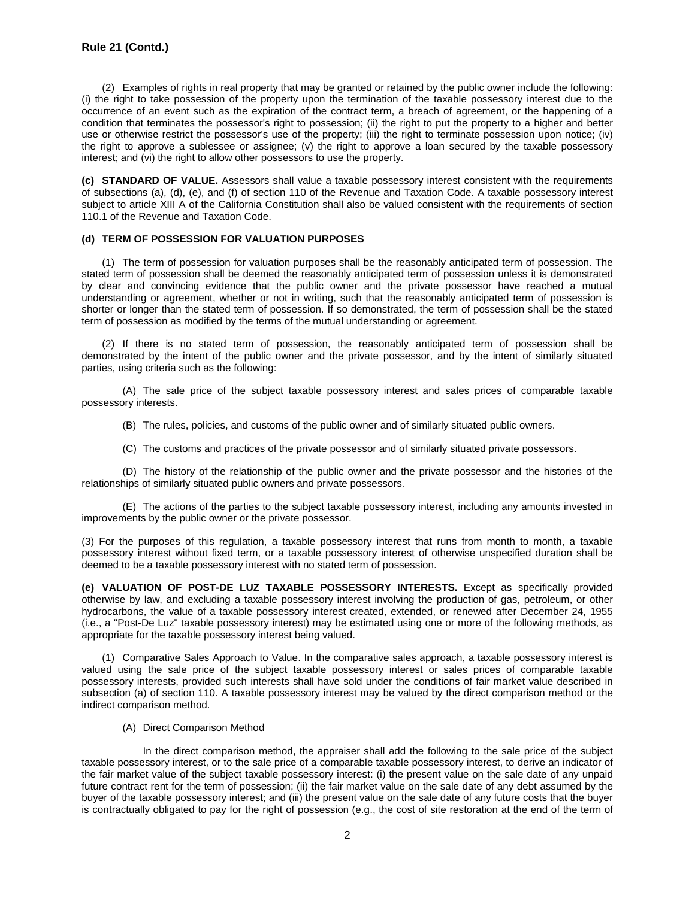(2) Examples of rights in real property that may be granted or retained by the public owner include the following: (i) the right to take possession of the property upon the termination of the taxable possessory interest due to the occurrence of an event such as the expiration of the contract term, a breach of agreement, or the happening of a condition that terminates the possessor's right to possession; (ii) the right to put the property to a higher and better use or otherwise restrict the possessor's use of the property; (iii) the right to terminate possession upon notice; (iv) the right to approve a sublessee or assignee; (v) the right to approve a loan secured by the taxable possessory interest; and (vi) the right to allow other possessors to use the property.

**(c) STANDARD OF VALUE.** Assessors shall value a taxable possessory interest consistent with the requirements of subsections (a), (d), (e), and (f) of section 110 of the Revenue and Taxation Code. A taxable possessory interest subject to article XIII A of the California Constitution shall also be valued consistent with the requirements of section 110.1 of the Revenue and Taxation Code.

### **(d) TERM OF POSSESSION FOR VALUATION PURPOSES**

 (1) The term of possession for valuation purposes shall be the reasonably anticipated term of possession. The stated term of possession shall be deemed the reasonably anticipated term of possession unless it is demonstrated by clear and convincing evidence that the public owner and the private possessor have reached a mutual understanding or agreement, whether or not in writing, such that the reasonably anticipated term of possession is shorter or longer than the stated term of possession. If so demonstrated, the term of possession shall be the stated term of possession as modified by the terms of the mutual understanding or agreement.

 (2) If there is no stated term of possession, the reasonably anticipated term of possession shall be demonstrated by the intent of the public owner and the private possessor, and by the intent of similarly situated parties, using criteria such as the following:

 (A) The sale price of the subject taxable possessory interest and sales prices of comparable taxable possessory interests.

- (B) The rules, policies, and customs of the public owner and of similarly situated public owners.
- (C) The customs and practices of the private possessor and of similarly situated private possessors.

(D) The history of the relationship of the public owner and the private possessor and the histories of the relationships of similarly situated public owners and private possessors.

 (E) The actions of the parties to the subject taxable possessory interest, including any amounts invested in improvements by the public owner or the private possessor.

(3) For the purposes of this regulation, a taxable possessory interest that runs from month to month, a taxable possessory interest without fixed term, or a taxable possessory interest of otherwise unspecified duration shall be deemed to be a taxable possessory interest with no stated term of possession.

**(e) VALUATION OF POST-DE LUZ TAXABLE POSSESSORY INTERESTS.** Except as specifically provided otherwise by law, and excluding a taxable possessory interest involving the production of gas, petroleum, or other hydrocarbons, the value of a taxable possessory interest created, extended, or renewed after December 24, 1955 (i.e., a "Post-De Luz" taxable possessory interest) may be estimated using one or more of the following methods, as appropriate for the taxable possessory interest being valued.

 (1) Comparative Sales Approach to Value. In the comparative sales approach, a taxable possessory interest is valued using the sale price of the subject taxable possessory interest or sales prices of comparable taxable possessory interests, provided such interests shall have sold under the conditions of fair market value described in subsection (a) of section 110. A taxable possessory interest may be valued by the direct comparison method or the indirect comparison method.

(A) Direct Comparison Method

In the direct comparison method, the appraiser shall add the following to the sale price of the subject taxable possessory interest, or to the sale price of a comparable taxable possessory interest, to derive an indicator of the fair market value of the subject taxable possessory interest: (i) the present value on the sale date of any unpaid future contract rent for the term of possession; (ii) the fair market value on the sale date of any debt assumed by the buyer of the taxable possessory interest; and (iii) the present value on the sale date of any future costs that the buyer is contractually obligated to pay for the right of possession (e.g., the cost of site restoration at the end of the term of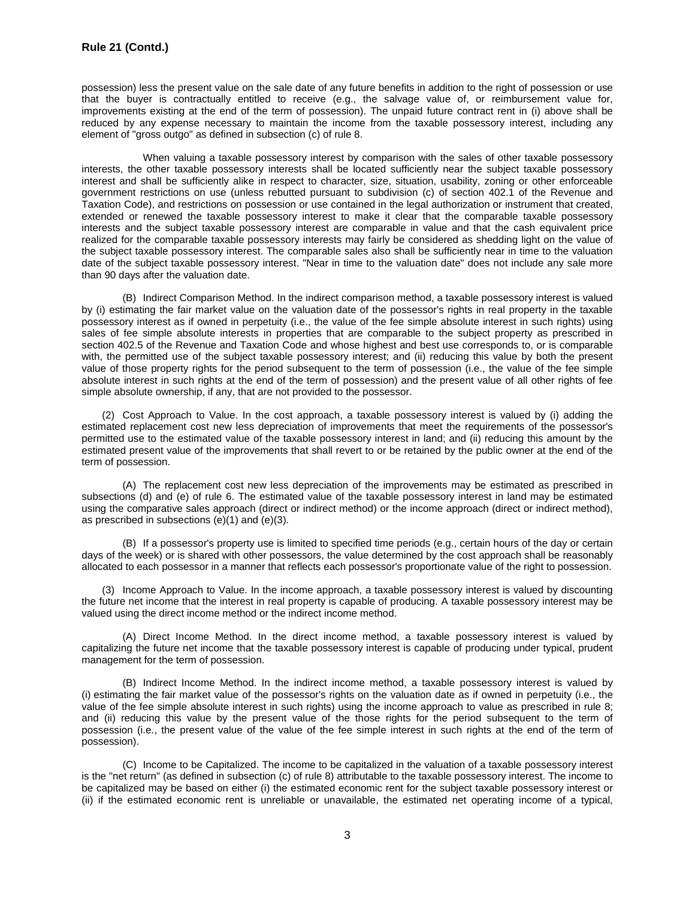possession) less the present value on the sale date of any future benefits in addition to the right of possession or use that the buyer is contractually entitled to receive (e.g., the salvage value of, or reimbursement value for, improvements existing at the end of the term of possession). The unpaid future contract rent in (i) above shall be reduced by any expense necessary to maintain the income from the taxable possessory interest, including any element of "gross outgo" as defined in subsection (c) of rule 8.

When valuing a taxable possessory interest by comparison with the sales of other taxable possessory interests, the other taxable possessory interests shall be located sufficiently near the subject taxable possessory interest and shall be sufficiently alike in respect to character, size, situation, usability, zoning or other enforceable government restrictions on use (unless rebutted pursuant to subdivision (c) of section 402.1 of the Revenue and Taxation Code), and restrictions on possession or use contained in the legal authorization or instrument that created, extended or renewed the taxable possessory interest to make it clear that the comparable taxable possessory interests and the subject taxable possessory interest are comparable in value and that the cash equivalent price realized for the comparable taxable possessory interests may fairly be considered as shedding light on the value of the subject taxable possessory interest. The comparable sales also shall be sufficiently near in time to the valuation date of the subject taxable possessory interest. "Near in time to the valuation date" does not include any sale more than 90 days after the valuation date.

 (B) Indirect Comparison Method. In the indirect comparison method, a taxable possessory interest is valued by (i) estimating the fair market value on the valuation date of the possessor's rights in real property in the taxable possessory interest as if owned in perpetuity (i.e., the value of the fee simple absolute interest in such rights) using sales of fee simple absolute interests in properties that are comparable to the subject property as prescribed in section 402.5 of the Revenue and Taxation Code and whose highest and best use corresponds to, or is comparable with, the permitted use of the subject taxable possessory interest; and (ii) reducing this value by both the present value of those property rights for the period subsequent to the term of possession (i.e., the value of the fee simple absolute interest in such rights at the end of the term of possession) and the present value of all other rights of fee simple absolute ownership, if any, that are not provided to the possessor.

 (2) Cost Approach to Value. In the cost approach, a taxable possessory interest is valued by (i) adding the estimated replacement cost new less depreciation of improvements that meet the requirements of the possessor's permitted use to the estimated value of the taxable possessory interest in land; and (ii) reducing this amount by the estimated present value of the improvements that shall revert to or be retained by the public owner at the end of the term of possession.

 (A) The replacement cost new less depreciation of the improvements may be estimated as prescribed in subsections (d) and (e) of rule 6. The estimated value of the taxable possessory interest in land may be estimated using the comparative sales approach (direct or indirect method) or the income approach (direct or indirect method), as prescribed in subsections (e)(1) and (e)(3).

 (B) If a possessor's property use is limited to specified time periods (e.g., certain hours of the day or certain days of the week) or is shared with other possessors, the value determined by the cost approach shall be reasonably allocated to each possessor in a manner that reflects each possessor's proportionate value of the right to possession.

 (3) Income Approach to Value. In the income approach, a taxable possessory interest is valued by discounting the future net income that the interest in real property is capable of producing. A taxable possessory interest may be valued using the direct income method or the indirect income method.

 (A) Direct Income Method. In the direct income method, a taxable possessory interest is valued by capitalizing the future net income that the taxable possessory interest is capable of producing under typical, prudent management for the term of possession.

 (B) Indirect Income Method. In the indirect income method, a taxable possessory interest is valued by (i) estimating the fair market value of the possessor's rights on the valuation date as if owned in perpetuity (i.e., the value of the fee simple absolute interest in such rights) using the income approach to value as prescribed in rule 8; and (ii) reducing this value by the present value of the those rights for the period subsequent to the term of possession (i.e., the present value of the value of the fee simple interest in such rights at the end of the term of possession).

(C) Income to be Capitalized. The income to be capitalized in the valuation of a taxable possessory interest is the "net return" (as defined in subsection (c) of rule 8) attributable to the taxable possessory interest. The income to be capitalized may be based on either (i) the estimated economic rent for the subject taxable possessory interest or (ii) if the estimated economic rent is unreliable or unavailable, the estimated net operating income of a typical,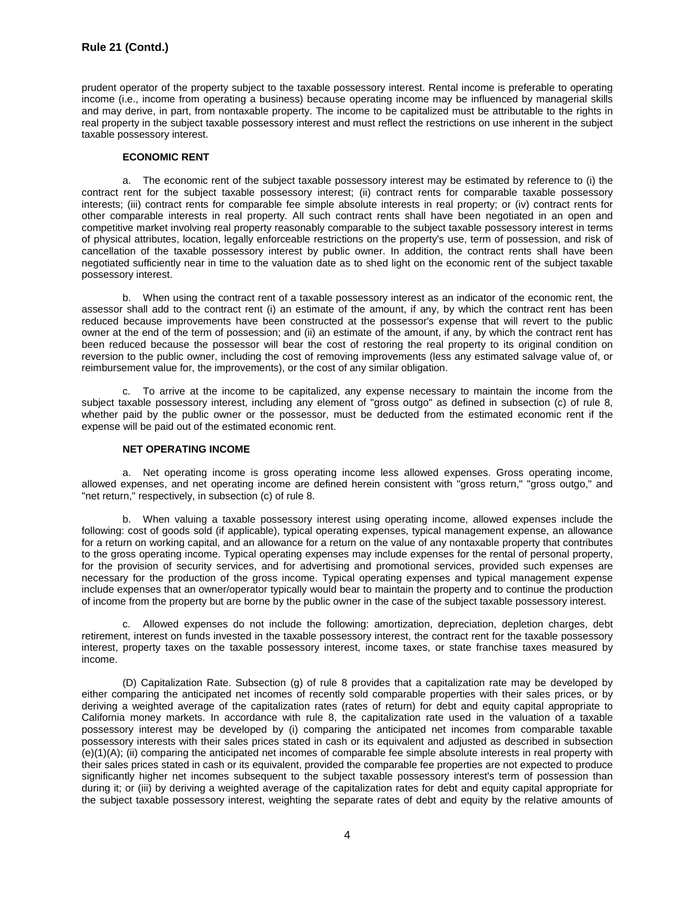prudent operator of the property subject to the taxable possessory interest. Rental income is preferable to operating income (i.e., income from operating a business) because operating income may be influenced by managerial skills and may derive, in part, from nontaxable property. The income to be capitalized must be attributable to the rights in real property in the subject taxable possessory interest and must reflect the restrictions on use inherent in the subject taxable possessory interest.

# **ECONOMIC RENT**

a. The economic rent of the subject taxable possessory interest may be estimated by reference to (i) the contract rent for the subject taxable possessory interest; (ii) contract rents for comparable taxable possessory interests; (iii) contract rents for comparable fee simple absolute interests in real property; or (iv) contract rents for other comparable interests in real property. All such contract rents shall have been negotiated in an open and competitive market involving real property reasonably comparable to the subject taxable possessory interest in terms of physical attributes, location, legally enforceable restrictions on the property's use, term of possession, and risk of cancellation of the taxable possessory interest by public owner. In addition, the contract rents shall have been negotiated sufficiently near in time to the valuation date as to shed light on the economic rent of the subject taxable possessory interest.

b. When using the contract rent of a taxable possessory interest as an indicator of the economic rent, the assessor shall add to the contract rent (i) an estimate of the amount, if any, by which the contract rent has been reduced because improvements have been constructed at the possessor's expense that will revert to the public owner at the end of the term of possession; and (ii) an estimate of the amount, if any, by which the contract rent has been reduced because the possessor will bear the cost of restoring the real property to its original condition on reversion to the public owner, including the cost of removing improvements (less any estimated salvage value of, or reimbursement value for, the improvements), or the cost of any similar obligation.

c. To arrive at the income to be capitalized, any expense necessary to maintain the income from the subject taxable possessory interest, including any element of "gross outgo" as defined in subsection (c) of rule 8, whether paid by the public owner or the possessor, must be deducted from the estimated economic rent if the expense will be paid out of the estimated economic rent.

## **NET OPERATING INCOME**

a. Net operating income is gross operating income less allowed expenses. Gross operating income, allowed expenses, and net operating income are defined herein consistent with "gross return," "gross outgo," and "net return," respectively, in subsection (c) of rule 8.

b. When valuing a taxable possessory interest using operating income, allowed expenses include the following: cost of goods sold (if applicable), typical operating expenses, typical management expense, an allowance for a return on working capital, and an allowance for a return on the value of any nontaxable property that contributes to the gross operating income. Typical operating expenses may include expenses for the rental of personal property, for the provision of security services, and for advertising and promotional services, provided such expenses are necessary for the production of the gross income. Typical operating expenses and typical management expense include expenses that an owner/operator typically would bear to maintain the property and to continue the production of income from the property but are borne by the public owner in the case of the subject taxable possessory interest.

c. Allowed expenses do not include the following: amortization, depreciation, depletion charges, debt retirement, interest on funds invested in the taxable possessory interest, the contract rent for the taxable possessory interest, property taxes on the taxable possessory interest, income taxes, or state franchise taxes measured by income.

(D) Capitalization Rate. Subsection (g) of rule 8 provides that a capitalization rate may be developed by either comparing the anticipated net incomes of recently sold comparable properties with their sales prices, or by deriving a weighted average of the capitalization rates (rates of return) for debt and equity capital appropriate to California money markets. In accordance with rule 8, the capitalization rate used in the valuation of a taxable possessory interest may be developed by (i) comparing the anticipated net incomes from comparable taxable possessory interests with their sales prices stated in cash or its equivalent and adjusted as described in subsection (e)(1)(A); (ii) comparing the anticipated net incomes of comparable fee simple absolute interests in real property with their sales prices stated in cash or its equivalent, provided the comparable fee properties are not expected to produce significantly higher net incomes subsequent to the subject taxable possessory interest's term of possession than during it; or (iii) by deriving a weighted average of the capitalization rates for debt and equity capital appropriate for the subject taxable possessory interest, weighting the separate rates of debt and equity by the relative amounts of